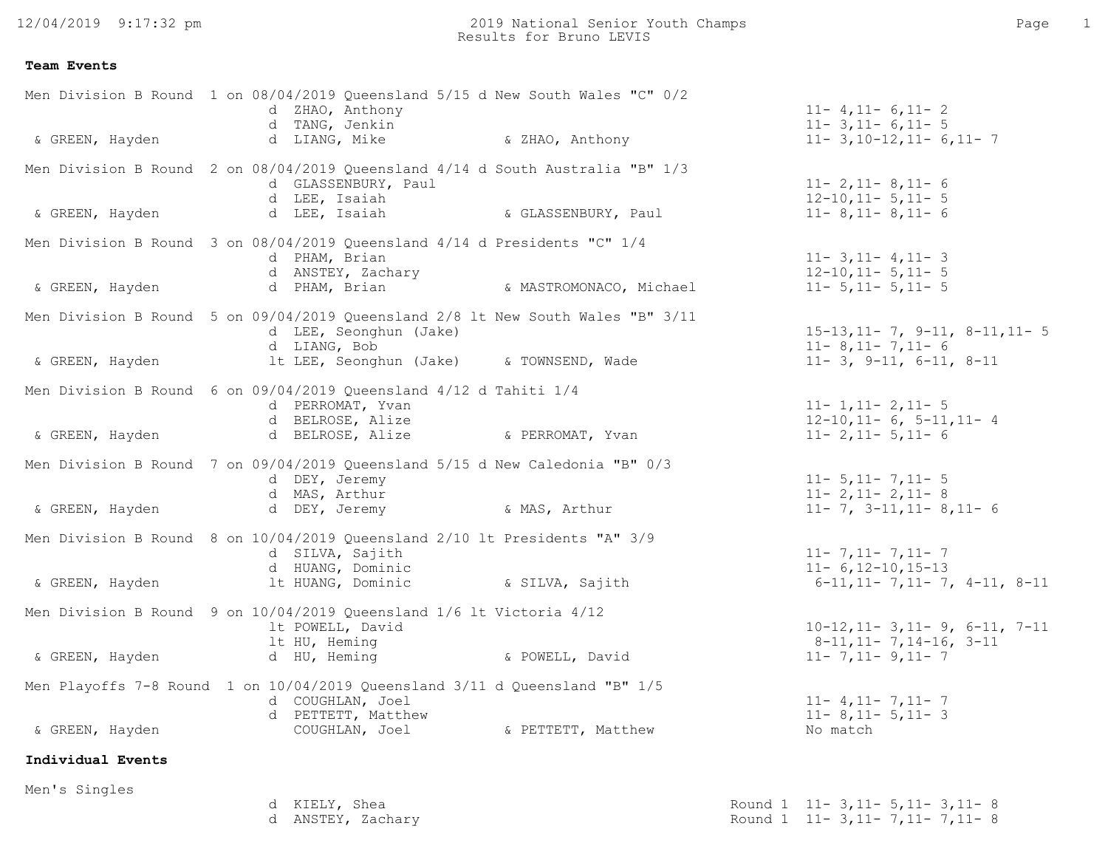12/04/2019 9:17:32 pm

## **Team Events**

|                   |   | d ZHAO, Anthony<br>d TANG, Jenkin                                                                                 | Men Division B Round 1 on 08/04/2019 Queensland 5/15 d New South Wales "C" 0/2  | $11 - 4, 11 - 6, 11 - 2$<br>$11 - 3$ , $11 - 6$ , $11 - 5$        |
|-------------------|---|-------------------------------------------------------------------------------------------------------------------|---------------------------------------------------------------------------------|-------------------------------------------------------------------|
| & GREEN, Hayden   |   | d LIANG, Mike $\alpha$ ZHAO, Anthony                                                                              |                                                                                 | $11 - 3, 10 - 12, 11 - 6, 11 - 7$                                 |
|                   |   | d GLASSENBURY, Paul<br>d LEE, Isaiah                                                                              | Men Division B Round 2 on 08/04/2019 Queensland 4/14 d South Australia "B" 1/3  | $11 - 2, 11 - 8, 11 - 6$<br>$12-10, 11-5, 11-5$                   |
| & GREEN, Hayden   |   | d LEE, Isaiah                                                                                                     | & GLASSENBURY, Paul                                                             | $11 - 8$ , 11 - 8, 11 - 6                                         |
|                   |   | Men Division B Round 3 on 08/04/2019 Queensland 4/14 d Presidents "C" 1/4<br>d PHAM, Brian<br>d ANSTEY, Zachary   |                                                                                 | $11 - 3, 11 - 4, 11 - 3$<br>$12 - 10$ , $11 - 5$ , $11 - 5$       |
| & GREEN, Hayden   |   |                                                                                                                   | d PHAM, Brian and S. MASTROMONACO, Michael                                      | $11 - 5$ , $11 - 5$ , $11 - 5$                                    |
|                   |   | d LEE, Seonghun (Jake)<br>d LIANG, Bob                                                                            | Men Division B Round 5 on 09/04/2019 Queensland 2/8 lt New South Wales "B" 3/11 | $15-13, 11-7, 9-11, 8-11, 11-5$<br>$11 - 8$ , $11 - 7$ , $11 - 6$ |
| & GREEN, Hayden   |   | lt LEE, Seonghun (Jake) & TOWNSEND, Wade                                                                          |                                                                                 | $11 - 3$ , $9 - 11$ , $6 - 11$ , $8 - 11$                         |
|                   |   | Men Division B Round 6 on 09/04/2019 Queensland 4/12 d Tahiti 1/4<br>d PERROMAT, Yvan<br>d BELROSE, Alize         |                                                                                 | $11 - 1, 11 - 2, 11 - 5$<br>$12-10, 11-6, 5-11, 11-4$             |
| & GREEN, Hayden   |   | d BELROSE, Alize                                                                                                  | & PERROMAT, Yvan                                                                | $11 - 2, 11 - 5, 11 - 6$                                          |
|                   |   | Men Division B Round 7 on 09/04/2019 Queensland 5/15 d New Caledonia "B" 0/3<br>d DEY, Jeremy<br>d MAS, Arthur    |                                                                                 | $11 - 5$ , $11 - 7$ , $11 - 5$<br>$11 - 2, 11 - 2, 11 - 8$        |
| & GREEN, Hayden   |   | d DEY, Jeremy                                                                                                     | & MAS, Arthur                                                                   | $11 - 7$ , $3 - 11$ , $11 - 8$ , $11 - 6$                         |
|                   |   | Men Division B Round 8 on 10/04/2019 Queensland 2/10 lt Presidents "A" 3/9<br>d SILVA, Sajith<br>d HUANG, Dominic |                                                                                 | $11 - 7, 11 - 7, 11 - 7$<br>$11 - 6, 12 - 10, 15 - 13$            |
| & GREEN, Hayden   |   | It HUANG, Dominic                                                                                                 | & SILVA, Sajith                                                                 | $6-11, 11-7, 11-7, 4-11, 8-11$                                    |
|                   |   | Men Division B Round 9 on 10/04/2019 Queensland 1/6 lt Victoria 4/12<br>lt POWELL, David                          |                                                                                 | $10-12, 11-3, 11-9, 6-11, 7-11$                                   |
| & GREEN, Hayden   |   | 1t HU, Heming                                                                                                     | d HU, Heming (a) & POWELL, David                                                | $8-11, 11-7, 14-16, 3-11$<br>$11 - 7, 11 - 9, 11 - 7$             |
|                   |   | Men Playoffs 7-8 Round 1 on 10/04/2019 Queensland 3/11 d Queensland "B" 1/5<br>d COUGHLAN, Joel                   |                                                                                 | $11 - 4, 11 - 7, 11 - 7$                                          |
| & GREEN, Hayden   |   | d PETTETT, Matthew<br>COUGHLAN, Joel                                                                              | & PETTETT, Matthew                                                              | $11 - 8$ , 11 - 5, 11 - 3<br>No match                             |
| Individual Events |   |                                                                                                                   |                                                                                 |                                                                   |
| Men's Singles     |   |                                                                                                                   |                                                                                 |                                                                   |
|                   | d | KIELY, Shea<br>d ANSTEY, Zachary                                                                                  |                                                                                 | Round 1 11-3, 11-5, 11-3, 11-8<br>Round 1 11-3, 11-7, 11-7, 11-8  |

| KIELY, Shea     | Round 1 | $11 - 3$ , $11 - 5$ , $11 - 3$ , $11 - 8$ |
|-----------------|---------|-------------------------------------------|
| ANSTEY, Zachary |         | Round 1 11-3,11-7,11-7,11-8               |